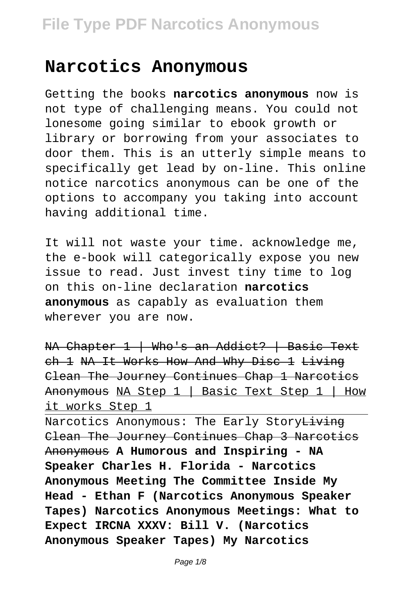## **Narcotics Anonymous**

Getting the books **narcotics anonymous** now is not type of challenging means. You could not lonesome going similar to ebook growth or library or borrowing from your associates to door them. This is an utterly simple means to specifically get lead by on-line. This online notice narcotics anonymous can be one of the options to accompany you taking into account having additional time.

It will not waste your time, acknowledge me, the e-book will categorically expose you new issue to read. Just invest tiny time to log on this on-line declaration **narcotics anonymous** as capably as evaluation them wherever you are now.

NA Chapter 1 | Who's an Addict? | Basic Text ch 1 NA It Works How And Why Disc 1 Living Clean The Journey Continues Chap 1 Narcotics Anonymous NA Step 1 | Basic Text Step 1 | How it works Step 1

Narcotics Anonymous: The Early Story<del>Living</del> Clean The Journey Continues Chap 3 Narcotics Anonymous **A Humorous and Inspiring - NA Speaker Charles H. Florida - Narcotics Anonymous Meeting The Committee Inside My Head - Ethan F (Narcotics Anonymous Speaker Tapes) Narcotics Anonymous Meetings: What to Expect IRCNA XXXV: Bill V. (Narcotics Anonymous Speaker Tapes) My Narcotics**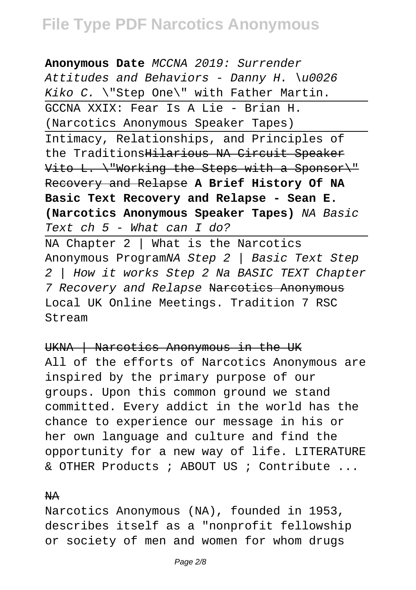**Anonymous Date** MCCNA 2019: Surrender Attitudes and Behaviors - Danny H.  $\u0026$ Kiko C. \"Step One\" with Father Martin. GCCNA XXIX: Fear Is A Lie - Brian H. (Narcotics Anonymous Speaker Tapes) Intimacy, Relationships, and Principles of the TraditionsHilarious NA Circuit Speaker Vito L. \"Working the Steps with a Sponsor\" Recovery and Relapse **A Brief History Of NA Basic Text Recovery and Relapse - Sean E. (Narcotics Anonymous Speaker Tapes)** NA Basic Text ch 5 - What can I do?

NA Chapter 2 | What is the Narcotics Anonymous ProgramNA Step 2 | Basic Text Step 2 | How it works Step 2 Na BASIC TEXT Chapter 7 Recovery and Relapse Narcotics Anonymous Local UK Online Meetings. Tradition 7 RSC Stream

UKNA | Narcotics Anonymous in the UK

All of the efforts of Narcotics Anonymous are inspired by the primary purpose of our groups. Upon this common ground we stand committed. Every addict in the world has the chance to experience our message in his or her own language and culture and find the opportunity for a new way of life. LITERATURE & OTHER Products ; ABOUT US ; Contribute ...

#### NA

Narcotics Anonymous (NA), founded in 1953, describes itself as a "nonprofit fellowship or society of men and women for whom drugs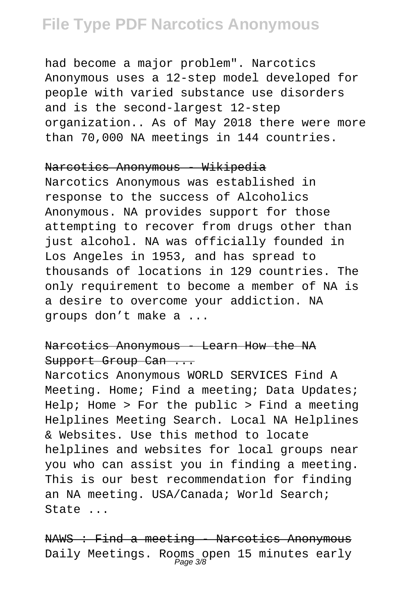had become a major problem". Narcotics Anonymous uses a 12-step model developed for people with varied substance use disorders and is the second-largest 12-step organization.. As of May 2018 there were more than 70,000 NA meetings in 144 countries.

#### Narcotics Anonymous - Wikipedia

Narcotics Anonymous was established in response to the success of Alcoholics Anonymous. NA provides support for those attempting to recover from drugs other than just alcohol. NA was officially founded in Los Angeles in 1953, and has spread to thousands of locations in 129 countries. The only requirement to become a member of NA is a desire to overcome your addiction. NA groups don't make a ...

### Narcotics Anonymous - Learn How the NA Support Group Can ...

Narcotics Anonymous WORLD SERVICES Find A Meeting. Home; Find a meeting; Data Updates; Help; Home > For the public > Find a meeting Helplines Meeting Search. Local NA Helplines & Websites. Use this method to locate helplines and websites for local groups near you who can assist you in finding a meeting. This is our best recommendation for finding an NA meeting. USA/Canada; World Search; State ...

NAWS : Find a meeting - Narcotics Anonymous Daily Meetings. Rooms open 15 minutes early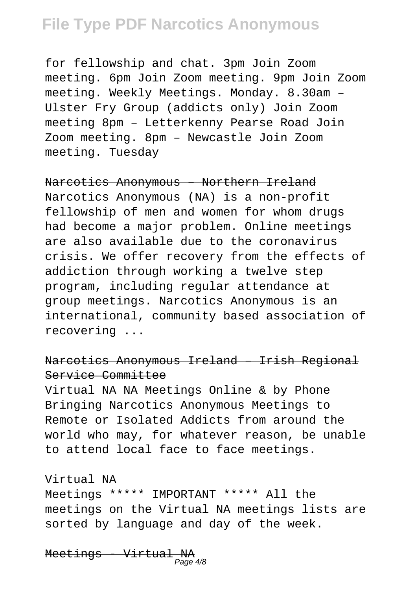for fellowship and chat. 3pm Join Zoom meeting. 6pm Join Zoom meeting. 9pm Join Zoom meeting. Weekly Meetings. Monday. 8.30am – Ulster Fry Group (addicts only) Join Zoom meeting 8pm – Letterkenny Pearse Road Join Zoom meeting. 8pm – Newcastle Join Zoom meeting. Tuesday

### Narcotics Anonymous – Northern Ireland

Narcotics Anonymous (NA) is a non-profit fellowship of men and women for whom drugs had become a major problem. Online meetings are also available due to the coronavirus crisis. We offer recovery from the effects of addiction through working a twelve step program, including regular attendance at group meetings. Narcotics Anonymous is an international, community based association of recovering ...

### Narcotics Anonymous Ireland – Irish Regional Service Committee

Virtual NA NA Meetings Online & by Phone Bringing Narcotics Anonymous Meetings to Remote or Isolated Addicts from around the world who may, for whatever reason, be unable to attend local face to face meetings.

#### Virtual NA

Meetings \*\*\*\*\* IMPORTANT \*\*\*\*\* All the meetings on the Virtual NA meetings lists are sorted by language and day of the week.

M<del>eetings - Virtual NA</del><br>Page4/8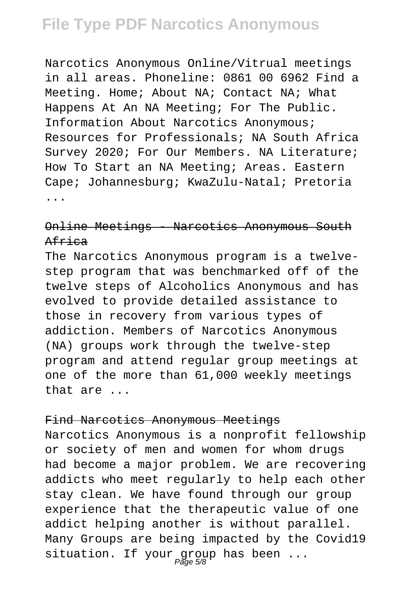Narcotics Anonymous Online/Vitrual meetings in all areas. Phoneline: 0861 00 6962 Find a Meeting. Home; About NA; Contact NA; What Happens At An NA Meeting; For The Public. Information About Narcotics Anonymous; Resources for Professionals; NA South Africa Survey 2020; For Our Members. NA Literature; How To Start an NA Meeting; Areas. Eastern Cape; Johannesburg; KwaZulu-Natal; Pretoria ...

### Online Meetings - Narcotics Anonymous South Africa

The Narcotics Anonymous program is a twelvestep program that was benchmarked off of the twelve steps of Alcoholics Anonymous and has evolved to provide detailed assistance to those in recovery from various types of addiction. Members of Narcotics Anonymous (NA) groups work through the twelve-step program and attend regular group meetings at one of the more than 61,000 weekly meetings that are ...

#### Find Narcotics Anonymous Meetings

Narcotics Anonymous is a nonprofit fellowship or society of men and women for whom drugs had become a major problem. We are recovering addicts who meet regularly to help each other stay clean. We have found through our group experience that the therapeutic value of one addict helping another is without parallel. Many Groups are being impacted by the Covid19 situation. If your group has been  $\dots$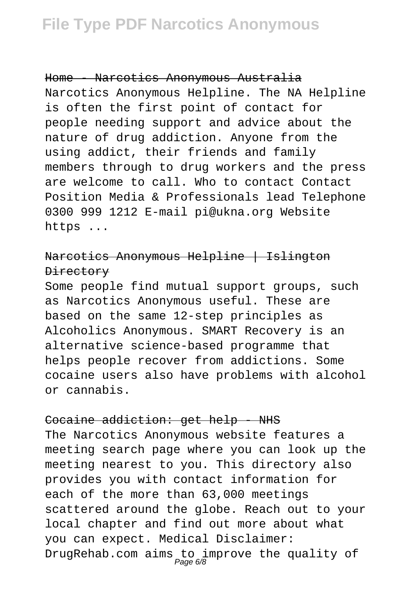Home - Narcotics Anonymous Australia Narcotics Anonymous Helpline. The NA Helpline is often the first point of contact for people needing support and advice about the nature of drug addiction. Anyone from the using addict, their friends and family members through to drug workers and the press are welcome to call. Who to contact Contact Position Media & Professionals lead Telephone 0300 999 1212 E-mail pi@ukna.org Website https ...

### Narcotics Anonymous Helpline | Islington Directory

Some people find mutual support groups, such as Narcotics Anonymous useful. These are based on the same 12-step principles as Alcoholics Anonymous. SMART Recovery is an alternative science-based programme that helps people recover from addictions. Some cocaine users also have problems with alcohol or cannabis.

## Cocaine addiction: get help - NHS The Narcotics Anonymous website features a meeting search page where you can look up the meeting nearest to you. This directory also provides you with contact information for each of the more than 63,000 meetings scattered around the globe. Reach out to your local chapter and find out more about what you can expect. Medical Disclaimer: DrugRehab.com aims to improve the quality of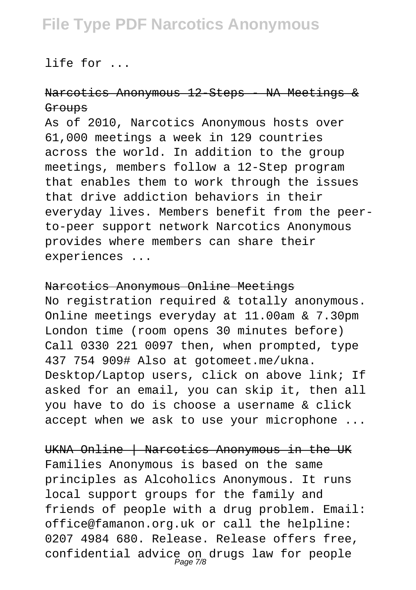life for ...

### Narcotics Anonymous 12-Steps - NA Meetings & **Groups**

As of 2010, Narcotics Anonymous hosts over 61,000 meetings a week in 129 countries across the world. In addition to the group meetings, members follow a 12-Step program that enables them to work through the issues that drive addiction behaviors in their everyday lives. Members benefit from the peerto-peer support network Narcotics Anonymous provides where members can share their experiences ...

#### Narcotics Anonymous Online Meetings

No registration required & totally anonymous. Online meetings everyday at 11.00am & 7.30pm London time (room opens 30 minutes before) Call 0330 221 0097 then, when prompted, type 437 754 909# Also at gotomeet.me/ukna. Desktop/Laptop users, click on above link; If asked for an email, you can skip it, then all you have to do is choose a username & click accept when we ask to use your microphone ...

UKNA Online | Narcotics Anonymous in the UK Families Anonymous is based on the same principles as Alcoholics Anonymous. It runs local support groups for the family and friends of people with a drug problem. Email: office@famanon.org.uk or call the helpline: 0207 4984 680. Release. Release offers free, confidential advice on drugs law for people Page 7/8